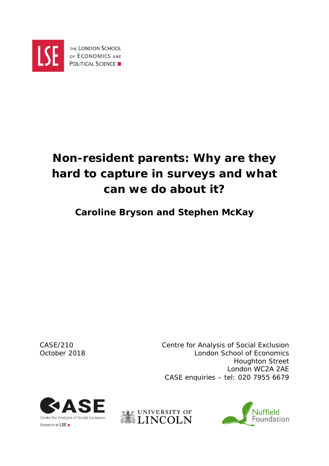

# **Non-resident parents: Why are they hard to capture in surveys and what can we do about it?**

# **Caroline Bryson and Stephen McKay**

CASE/210 Centre for Analysis of Social Exclusion October 2018 London School of Economics Houghton Street London WC2A 2AE CASE enquiries – tel: 020 7955 6679





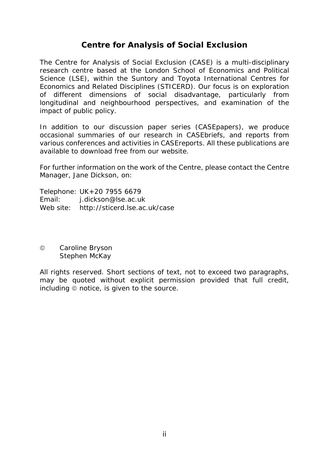# **Centre for Analysis of Social Exclusion**

The Centre for Analysis of Social Exclusion (CASE) is a multi*-*disciplinary research centre based at the London School of Economics and Political Science (LSE), within the Suntory and Toyota International Centres for Economics and Related Disciplines (STICERD). Our focus is on exploration of different dimensions of social disadvantage, particularly from longitudinal and neighbourhood perspectives, and examination of the impact of public policy.

In addition to our discussion paper series (CASEpapers), we produce occasional summaries of our research in CASEbriefs, and reports from various conferences and activities in CASEreports. All these publications are available to download free from our website.

For further information on the work of the Centre, please contact the Centre Manager, Jane Dickson, on:

Telephone: UK+20 7955 6679 Email: j.dickson@lse.ac.uk Web site: http://sticerd.lse.ac.uk/case

© Caroline Bryson Stephen McKay

All rights reserved. Short sections of text, not to exceed two paragraphs, may be quoted without explicit permission provided that full credit,  $including \t{ $\circ$  notice, is given to the source.$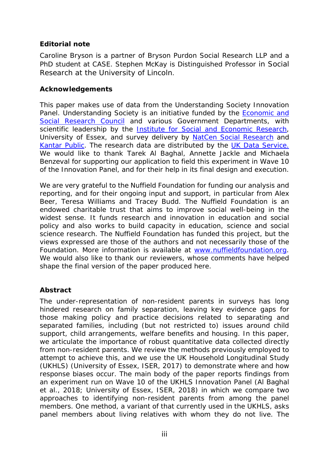#### **Editorial note**

Caroline Bryson is a partner of Bryson Purdon Social Research LLP and a PhD student at CASE. Stephen McKay is Distinguished Professor in Social Research at the University of Lincoln.

#### **Acknowledgements**

This paper makes use of data from the *Understanding Society* Innovation Panel. Understanding Society is an initiative funded by the [Economic and](http://www.esrc.ac.uk/)  [Social Research Council](http://www.esrc.ac.uk/) and various Government Departments, with scientific leadership by the **Institute for Social and Economic Research**, University of Essex, and survey delivery by [NatCen Social Research](http://natcen.ac.uk/) and [Kantar Public.](http://www.kantar.com/) The research data are distributed by the [UK Data Service.](https://www.ukdataservice.ac.uk/) We would like to thank Tarek Al Baghal, Annette Jackle and Michaela Benzeval for supporting our application to field this experiment in Wave 10 of the Innovation Panel, and for their help in its final design and execution.

We are very grateful to the Nuffield Foundation for funding our analysis and reporting, and for their ongoing input and support, in particular from Alex Beer, Teresa Williams and Tracey Budd. The Nuffield Foundation is an endowed charitable trust that aims to improve social well-being in the widest sense. It funds research and innovation in education and social policy and also works to build capacity in education, science and social science research. The Nuffield Foundation has funded this project, but the views expressed are those of the authors and not necessarily those of the Foundation. More information is available at [www.nuffieldfoundation.org.](http://www.nuffieldfoundation.org/) We would also like to thank our reviewers, whose comments have helped shape the final version of the paper produced here.

#### **Abstract**

The under-representation of non-resident parents in surveys has long hindered research on family separation, leaving key evidence gaps for those making policy and practice decisions related to separating and separated families, including (but not restricted to) issues around child support, child arrangements, welfare benefits and housing. In this paper, we articulate the importance of robust quantitative data collected directly from non-resident parents. We review the methods previously employed to attempt to achieve this, and we use the UK Household Longitudinal Study (UKHLS) (University of Essex, ISER, 2017) to demonstrate where and how response biases occur. The main body of the paper reports findings from an experiment run on Wave 10 of the UKHLS Innovation Panel (Al Baghal et al., 2018; University of Essex, ISER, 2018) in which we compare two approaches to identifying non-resident parents from among the panel members. One method, a variant of that currently used in the UKHLS, asks panel members about living relatives with whom they do not live. The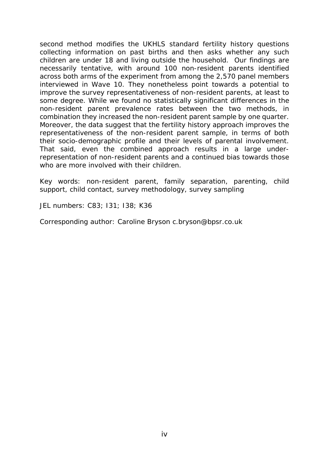second method modifies the UKHLS standard fertility history questions collecting information on past births and then asks whether any such children are under 18 and living outside the household. Our findings are necessarily tentative, with around 100 non-resident parents identified across both arms of the experiment from among the 2,570 panel members interviewed in Wave 10. They nonetheless point towards a potential to improve the survey representativeness of non-resident parents, at least to some degree. While we found no statistically significant differences in the non-resident parent prevalence rates between the two methods, *in combination* they increased the non-resident parent sample by one quarter. Moreover, the data suggest that the fertility history approach improves the representativeness of the non-resident parent sample, in terms of both their socio-demographic profile and their levels of parental involvement. That said, even the combined approach results in a large underrepresentation of non-resident parents and a continued bias towards those who are more involved with their children.

Key words: non-resident parent, family separation, parenting, child support, child contact, survey methodology, survey sampling

JEL numbers: C83; I31; I38; K36

Corresponding author: Caroline Bryson c.bryson@bpsr.co.uk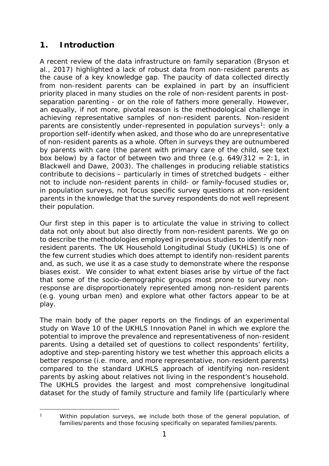# **1. Introduction**

A recent review of the data infrastructure on family separation (Bryson et al., 2017) highlighted a lack of robust data from non-resident parents as the cause of a key knowledge gap. The paucity of data collected directly from non-resident parents can be explained in part by an insufficient priority placed in many studies on the role of non-resident parents in postseparation parenting - or on the role of fathers more generally. However, an equally, if not more, pivotal reason is the methodological challenge in achieving representative samples of non-resident parents. Non-resident parents are consistently under-represented in population surveys<sup>[1](#page-4-0)</sup>: only a proportion self-identify when asked, and those who do are unrepresentative of non-resident parents as a whole. Often in surveys they are outnumbered by parents with care (the parent with primary care of the child, see text box below) by a factor of between two and three (e.g.  $649/312 = 2:1$ , in Blackwell and Dawe, 2003). The challenges in producing reliable statistics contribute to decisions – particularly in times of stretched budgets – either not to include non-resident parents in child- or family-focused studies or, in population surveys, not focus specific survey questions at non-resident parents in the knowledge that the survey respondents do not well represent their population.

Our first step in this paper is to articulate the value in striving to collect data not only *about* but also directly *from* non-resident parents. We go on to describe the methodologies employed in previous studies to identify nonresident parents. The UK Household Longitudinal Study (UKHLS) is one of the few current studies which does attempt to identify non-resident parents and, as such, we use it as a case study to demonstrate where the response biases exist. We consider to what extent biases arise by virtue of the fact that some of the socio-demographic groups most prone to survey nonresponse are disproportionately represented among non-resident parents (e.g. young urban men) and explore what other factors appear to be at play.

The main body of the paper reports on the findings of an experimental study on Wave 10 of the UKHLS Innovation Panel in which we explore the potential to improve the prevalence and representativeness of non-resident parents. Using a detailed set of questions to collect respondents' fertility, adoptive and step-parenting history we test whether this approach elicits a better response (i.e. more, and more representative, non-resident parents) compared to the standard UKHLS approach of identifying non-resident parents by asking about relatives not living in the respondent's household. The UKHLS provides the largest and most comprehensive longitudinal dataset for the study of family structure and family life (particularly where

<span id="page-4-0"></span> $\overline{1}$ 

Within population surveys, we include both those of the general population, of families/parents and those focusing specifically on separated families/parents.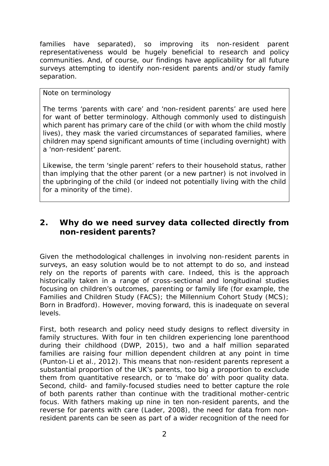families have separated), so improving its non-resident parent representativeness would be hugely beneficial to research and policy communities. And, of course, our findings have applicability for all future surveys attempting to identify non-resident parents and/or study family separation.

#### *Note on terminology*

The terms 'parents with care' and 'non-resident parents' are used here for want of better terminology. Although commonly used to distinguish which parent has primary care of the child (or with whom the child mostly lives), they mask the varied circumstances of separated families, where children may spend significant amounts of time (including overnight) with a 'non-resident' parent.

Likewise, the term 'single parent' refers to their household status, rather than implying that the other parent (or a new partner) is not involved in the upbringing of the child (or indeed not potentially living with the child for a minority of the time).

# **2. Why do we need survey data collected directly from non-resident parents?**

Given the methodological challenges in involving non-resident parents in surveys, an easy solution would be to not attempt to do so, and instead rely on the reports of parents with care. Indeed, this is the approach historically taken in a range of cross-sectional and longitudinal studies focusing on children's outcomes, parenting or family life (for example, the Families and Children Study (FACS); the Millennium Cohort Study (MCS); Born in Bradford). However, moving forward, this is inadequate on several levels.

First, both research and policy need study designs to reflect diversity in family structures. With four in ten children experiencing lone parenthood during their childhood (DWP, 2015), two and a half million separated families are raising four million dependent children at any point in time (Punton-Li et al., 2012). This means that non-resident parents represent a substantial proportion of the UK's parents, too big a proportion to exclude them from quantitative research, or to 'make do' with poor quality data. Second, child- and family-focused studies need to better capture the role of *both* parents rather than continue with the traditional mother-centric focus. With fathers making up nine in ten non-resident parents, and the reverse for parents with care (Lader, 2008), the need for data from nonresident parents can be seen as part of a wider recognition of the need for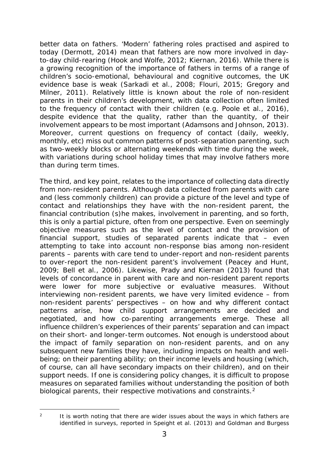better data on fathers. 'Modern' fathering roles practised and aspired to today (Dermott, 2014) mean that fathers are now more involved in dayto-day child-rearing (Hook and Wolfe, 2012; Kiernan, 2016). While there is a growing recognition of the importance of fathers in terms of a range of children's socio-emotional, behavioural and cognitive outcomes, the UK evidence base is weak (Sarkadi et al., 2008; Flouri, 2015; Gregory and Milner, 2011). Relatively little is known about the role of non-resident parents in their children's development, with data collection often limited to the frequency of contact with their children (e.g. Poole et al., 2016), despite evidence that the quality, rather than the quantity, of their involvement appears to be most important (Adamsons and Johnson, 2013). Moreover, current questions on frequency of contact (daily, weekly, monthly, etc) miss out common patterns of post-separation parenting, such as two-weekly blocks or alternating weekends with time during the week, with variations during school holiday times that may involve fathers more than during term times.

The third, and key point, relates to the importance of collecting data directly from non-resident parents. Although data collected from parents with care and (less commonly children) can provide a picture of the level and type of contact and relationships they have with the non-resident parent, the financial contribution (s)he makes, involvement in parenting, and so forth, this is only a partial picture, often from one perspective. Even on seemingly objective measures such as the level of contact and the provision of financial support, studies of separated parents indicate that – even attempting to take into account non-response bias among non-resident parents – parents with care tend to under-report and non-resident parents to over-report the non-resident parent's involvement (Peacey and Hunt, 2009; Bell et al., 2006). Likewise, Prady and Kiernan (2013) found that levels of concordance in parent with care and non-resident parent reports were lower for more subjective or evaluative measures. Without interviewing non-resident parents, we have very limited evidence – from non-resident parents' perspectives – on how and why different contact patterns arise, how child support arrangements are decided and negotiated, and how co-parenting arrangements emerge. These all influence children's experiences of their parents' separation and can impact on their short- and longer-term outcomes. Not enough is understood about the impact of family separation on non-resident parents, and on any subsequent new families they have, including impacts on health and wellbeing; on their parenting ability; on their income levels and housing (which, of course, can all have secondary impacts on their children), and on their support needs. If one is considering policy changes, it is difficult to propose measures on separated families without understanding the position of *both* biological parents, their respective motivations and constraints.<sup>[2](#page-6-0)</sup>

-

<span id="page-6-0"></span> $2$  It is worth noting that there are wider issues about the ways in which fathers are identified in surveys, reported in Speight et al. (2013) and Goldman and Burgess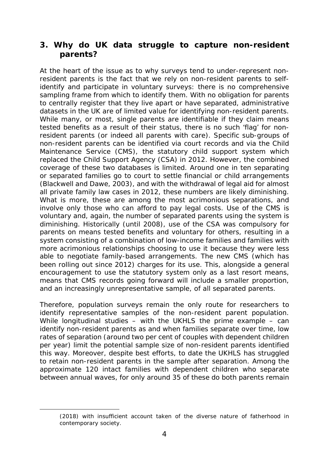# **3. Why do UK data struggle to capture non-resident parents?**

At the heart of the issue as to why surveys tend to under-represent nonresident parents is the fact that we rely on non-resident parents to selfidentify and participate in voluntary surveys: there is no comprehensive sampling frame from which to identify them. With no obligation for parents to centrally register that they live apart or have separated, administrative datasets in the UK are of limited value for identifying non-resident parents. While many, or most, single parents are identifiable if they claim means tested benefits as a result of their status, there is no such 'flag' for nonresident parents (or indeed all parents with care). Specific sub-groups of non-resident parents can be identified via court records and via the Child Maintenance Service (CMS), the statutory child support system which replaced the Child Support Agency (CSA) in 2012. However, the combined coverage of these two databases is limited. Around one in ten separating or separated families go to court to settle financial or child arrangements (Blackwell and Dawe, 2003), and with the withdrawal of legal aid for almost all private family law cases in 2012, these numbers are likely diminishing. What is more, these are among the most acrimonious separations, and involve only those who can afford to pay legal costs. Use of the CMS is voluntary and, again, the number of separated parents using the system is diminishing. Historically (until 2008), use of the CSA was compulsory for parents on means tested benefits and voluntary for others, resulting in a system consisting of a combination of low-income families and families with more acrimonious relationships choosing to use it because they were less able to negotiate family-based arrangements. The new CMS (which has been rolling out since 2012) charges for its use. This, alongside a general encouragement to use the statutory system only as a last resort means, means that CMS records going forward will include a smaller proportion, and an increasingly unrepresentative sample, of all separated parents.

Therefore, population surveys remain the only route for researchers to identify representative samples of the non-resident parent population. While longitudinal studies – with the UKHLS the prime example – can identify non-resident parents as and when families separate over time, low rates of separation (around two per cent of couples with dependent children per year) limit the potential sample size of non-resident parents identified this way. Moreover, despite best efforts, to date the UKHLS has struggled to retain non-resident parents in the sample after separation. Among the approximate 120 intact families with dependent children who separate between annual waves, for only around 35 of these do both parents remain

-

<sup>(2018)</sup> with insufficient account taken of the diverse nature of fatherhood in contemporary society.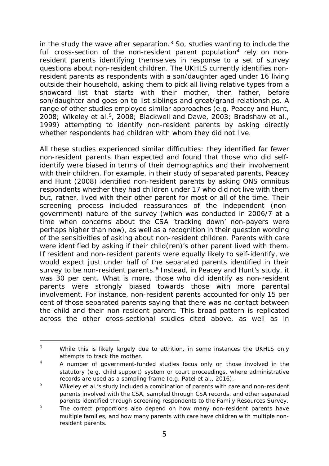in the study the wave after separation. $3$  So, studies wanting to include the full cross-section of the non-resident parent population<sup>[4](#page-8-1)</sup> rely on nonresident parents identifying themselves in response to a set of survey questions about non-resident children. The UKHLS currently identifies nonresident parents as respondents with a son/daughter aged under 16 living outside their household, asking them to pick all living relative types from a showcard list that starts with their mother, then father, before son/daughter and goes on to list siblings and great/grand relationships. A range of other studies employed similar approaches (e.g. Peacey and Hunt, 2008; Wikeley et al.[5](#page-8-2), 2008; Blackwell and Dawe, 2003; Bradshaw et al., 1999) attempting to identify non-resident parents by asking directly whether respondents had children with whom they did not live.

All these studies experienced similar difficulties: they identified far fewer non-resident parents than expected and found that those who did selfidentify were biased in terms of their demographics and their involvement with their children. For example, in their study of separated parents, Peacey and Hunt (2008) identified non-resident parents by asking ONS omnibus respondents whether they had children under 17 who did not live with them but, rather, lived with their other parent for most or all of the time. Their screening process included reassurances of the independent (nongovernment) nature of the survey (which was conducted in 2006/7 at a time when concerns about the CSA 'tracking down' non-payers were perhaps higher than now), as well as a recognition in their question wording of the sensitivities of asking about non-resident children. Parents with care were identified by asking if their child(ren)'s other parent lived with them. If resident and non-resident parents were equally likely to self-identify, we would expect just under half of the separated parents identified in their survey to be non-resident parents.<sup>[6](#page-8-3)</sup> Instead, in Peacey and Hunt's study, it was 30 per cent. What is more, those who did identify as non-resident parents were strongly biased towards those with more parental involvement. For instance, non-resident parents accounted for only 15 per cent of those separated parents saying that there was no contact between the child and their non-resident parent. This broad pattern is replicated across the other cross-sectional studies cited above, as well as in

-

<span id="page-8-0"></span> $3$  While this is likely largely due to attrition, in some instances the UKHLS only attempts to track the mother.

<span id="page-8-1"></span><sup>4</sup> A number of government-funded studies focus only on those involved in the statutory (e.g. child support) system or court proceedings, where administrative records are used as a sampling frame (e.g. Patel et al., 2016).

<span id="page-8-2"></span> $\frac{5}{10}$  Wikeley et al.'s study included a combination of parents with care and non-resident parents involved with the CSA, sampled through CSA records, and other separated parents identified through screening respondents to the Family Resources Survey.

<span id="page-8-3"></span> $\frac{6}{100}$  The correct proportions also depend on how many non-resident parents have multiple families, and how many parents with care have children with multiple nonresident parents.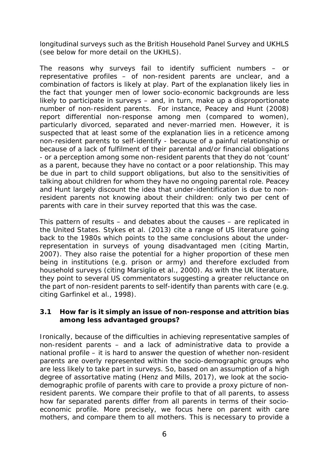longitudinal surveys such as the British Household Panel Survey and UKHLS (see below for more detail on the UKHLS).

The reasons why surveys fail to identify sufficient numbers – or representative profiles – of non-resident parents are unclear, and a combination of factors is likely at play. Part of the explanation likely lies in the fact that younger men of lower socio-economic backgrounds are less likely to participate in surveys – and, in turn, make up a disproportionate number of non-resident parents. For instance, Peacey and Hunt (2008) report differential non-response among men (compared to women), particularly divorced, separated and never-married men. However, it is suspected that at least some of the explanation lies in a reticence among non-resident parents to self-identify - because of a painful relationship or because of a lack of fulfilment of their parental and/or financial obligations - or a perception among some non-resident parents that they do not 'count' as a parent, because they have no contact or a poor relationship. This may be due in part to child support obligations, but also to the sensitivities of talking about children for whom they have no ongoing parental role. Peacey and Hunt largely discount the idea that under-identification is due to nonresident parents not knowing about their children: only two per cent of parents with care in their survey reported that this was the case.

This pattern of results – and debates about the causes – are replicated in the United States. Stykes et al. (2013) cite a range of US literature going back to the 1980s which points to the same conclusions about the underrepresentation in surveys of young disadvantaged men (citing Martin, 2007). They also raise the potential for a higher proportion of these men being in institutions (e.g. prison or army) and therefore excluded from household surveys (citing Marsiglio et al., 2000). As with the UK literature, they point to several US commentators suggesting a greater reluctance on the part of non-resident parents to self-identify than parents with care (e.g. citing Garfinkel et al., 1998).

#### *3.1 How far is it simply an issue of non-response and attrition bias among less advantaged groups?*

Ironically, because of the difficulties in achieving representative samples of non-resident parents – and a lack of administrative data to provide a national profile – it is hard to answer the question of whether non-resident parents are overly represented within the socio-demographic groups who are less likely to take part in surveys. So, based on an assumption of a high degree of assortative mating (Henz and Mills, 2017), we look at the sociodemographic profile of *parents with care* to provide a proxy picture of nonresident parents. We compare their profile to that of all parents, to assess how far separated parents differ from all parents in terms of their socioeconomic profile. More precisely, we focus here on parent with care *mothers*, and compare them to all mothers. This is necessary to provide a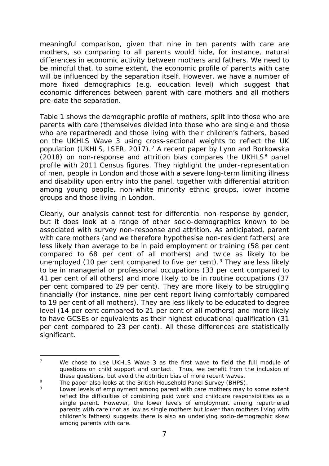meaningful comparison, given that nine in ten parents with care are mothers, so comparing to all parents would hide, for instance, natural differences in economic activity between mothers and fathers. We need to be mindful that, to some extent, the economic profile of parents with care will be influenced by the separation itself. However, we have a number of more fixed demographics (e.g. education level) which suggest that economic differences between parent with care mothers and all mothers pre-date the separation.

Table 1 shows the demographic profile of mothers, split into those who are parents with care (themselves divided into those who are single and those who are repartnered) and those living with their children's fathers, based on the UKHLS Wave 3 using cross-sectional weights to reflect the UK population (UKHLS, ISER, 201[7](#page-10-0)).<sup>7</sup> A recent paper by Lynn and Borkowska (201[8](#page-10-1)) on non-response and attrition bias compares the UKHLS $<sup>8</sup>$  panel</sup> profile with 2011 Census figures. They highlight the under-representation of men, people in London and those with a severe long-term limiting illness and disability upon entry into the panel, together with differential attrition among young people, non-white minority ethnic groups, lower income groups and those living in London.

Clearly, our analysis cannot test for differential non-response by gender, but it does look at a range of other socio-demographics known to be associated with survey non-response and attrition. As anticipated, parent with care mothers (and we therefore hypothesise non-resident fathers) are less likely than average to be in paid employment or training (58 per cent compared to 68 per cent of all mothers) and twice as likely to be unemployed (10 per cent compared to five per cent). <sup>[9](#page-10-2)</sup> They are less likely to be in managerial or professional occupations (33 per cent compared to 41 per cent of all others) and more likely to be in routine occupations (37 per cent compared to 29 per cent). They are more likely to be struggling financially (for instance, nine per cent report living comfortably compared to 19 per cent of all mothers). They are less likely to be educated to degree level (14 per cent compared to 21 per cent of all mothers) and more likely to have GCSEs or equivalents as their highest educational qualification (31 per cent compared to 23 per cent). All these differences are statistically significant.

<span id="page-10-0"></span><sup>-</sup><sup>7</sup> We chose to use UKHLS Wave 3 as the first wave to field the full module of questions on child support and contact. Thus, we benefit from the inclusion of these questions, but avoid the attrition bias of more recent waves.

<span id="page-10-2"></span><span id="page-10-1"></span> $8$  The paper also looks at the British Household Panel Survey (BHPS).

Lower levels of employment among parent with care mothers may to some extent reflect the difficulties of combining paid work and childcare responsibilities as a single parent. However, the lower levels of employment among repartnered parents with care (not as low as single mothers but lower than mothers living with children's fathers) suggests there is also an underlying socio-demographic skew among parents with care.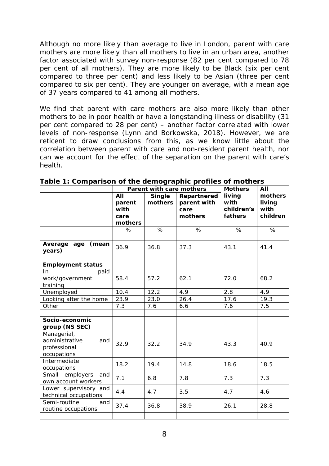Although no more likely than average to live in London, parent with care mothers are more likely than all mothers to live in an urban area, another factor associated with survey non-response (82 per cent compared to 78 per cent of all mothers). They are more likely to be Black (six per cent compared to three per cent) and less likely to be Asian (three per cent compared to six per cent). They are younger on average, with a mean age of 37 years compared to 41 among all mothers.

We find that parent with care mothers are also more likely than other mothers to be in poor health or have a longstanding illness or disability (31 per cent compared to 28 per cent) – another factor correlated with lower levels of non-response (Lynn and Borkowska, 2018). However, we are reticent to draw conclusions from this, as we know little about the correlation between parent with care and non-resident parent health, nor can we account for the effect of the separation on the parent with care's health.

|                                                                     |                 | Parent with care mothers | <b>Mothers</b> | All        |          |
|---------------------------------------------------------------------|-----------------|--------------------------|----------------|------------|----------|
|                                                                     | AII             | <b>Single</b>            | Repartnered    | living     | mothers  |
|                                                                     | parent          | mothers                  | parent with    | with       | living   |
|                                                                     | with            |                          | care           | children's | with     |
|                                                                     | care            |                          | mothers        | fathers    | children |
|                                                                     | mothers<br>$\%$ | %                        | %              | %          | %        |
|                                                                     |                 |                          |                |            |          |
| Average age<br>(mean<br>years)                                      | 36.9            | 36.8                     | 37.3           | 43.1       | 41.4     |
| <b>Employment status</b>                                            |                 |                          |                |            |          |
| In.<br>paid                                                         |                 |                          |                |            |          |
| work/government<br>training                                         | 58.4            | 57.2                     | 62.1           | 72.0       | 68.2     |
| Unemployed                                                          | 10.4            | 12.2                     | 4.9            | 2.8        | 4.9      |
| Looking after the home                                              | 23.9            | 23.0                     | 26.4           | 17.6       | 19.3     |
| Other                                                               | 7.3             | 7.6                      | 6.6            | 7.6        | 7.5      |
|                                                                     |                 |                          |                |            |          |
| Socio-economic                                                      |                 |                          |                |            |          |
| group (NS SEC)                                                      |                 |                          |                |            |          |
| Managerial,<br>administrative<br>and<br>professional<br>occupations | 32.9            | 32.2                     | 34.9           | 43.3       | 40.9     |
| Intermediate<br>occupations                                         | 18.2            | 19.4                     | 14.8           | 18.6       | 18.5     |
| Small employers<br>and<br>own account workers                       | 7.1             | 6.8                      | 7.8            | 7.3        | 7.3      |
| Lower supervisory and<br>technical occupations                      | 4.4             | 4.7                      | 3.5            | 4.7        | 4.6      |
| Semi-routine<br>and<br>routine occupations                          | 37.4            | 36.8                     | 38.9           | 26.1       | 28.8     |
|                                                                     |                 |                          |                |            |          |

**Table 1: Comparison of the demographic profiles of mothers**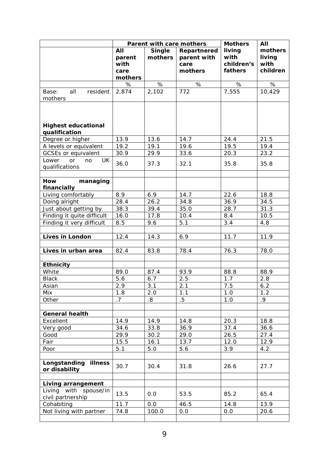|                                                  |                                          | Parent with care mothers | <b>Mothers</b>                                | All                                     |                                       |
|--------------------------------------------------|------------------------------------------|--------------------------|-----------------------------------------------|-----------------------------------------|---------------------------------------|
|                                                  | All<br>parent<br>with<br>care<br>mothers | <b>Single</b><br>mothers | Repartnered<br>parent with<br>care<br>mothers | living<br>with<br>children's<br>fathers | mothers<br>living<br>with<br>children |
|                                                  | $\%$                                     | $\%$                     | $\%$                                          | $\%$                                    | $\%$                                  |
| all<br>Base:<br>resident<br>mothers              | 2,874                                    | 2,102                    | 772                                           | 7,555                                   | 10,429                                |
| <b>Highest educational</b><br>qualification      |                                          |                          |                                               |                                         |                                       |
| Degree or higher                                 | 13.9                                     | 13.6                     | 14.7                                          | 24.4                                    | 21.5                                  |
| A levels or equivalent                           | 19.2                                     | 19.1                     | 19.6                                          | 19.5                                    | 19.4                                  |
| <b>GCSEs or equivalent</b>                       | 30.9                                     | 29.9                     | 33.6                                          | 20.3                                    | 23.2                                  |
| Lower<br><b>UK</b><br>or<br>no<br>qualifications | 36.0                                     | 37.3                     | 32.1                                          | 35.8                                    | 35.8                                  |
| How                                              |                                          |                          |                                               |                                         |                                       |
| managing                                         |                                          |                          |                                               |                                         |                                       |
| financially                                      |                                          |                          |                                               |                                         |                                       |
| Living comfortably                               | 8.9                                      | 6.9                      | 14.7                                          | 22.6                                    | 18.8                                  |
| Doing alright                                    | 28.4                                     | 26.2                     | 34.8                                          | 36.9                                    | 34.5                                  |
| Just about getting by                            | 38.3                                     | 39.4                     | 35.0                                          | 28.7                                    | 31.3                                  |
| Finding it quite difficult                       | 16.0                                     | 17.8                     | 10.4                                          | 8.4                                     | 10.5                                  |
| Finding it very difficult                        | 8.5                                      | 9.6                      | 5.1                                           | 3.4                                     | 4.8                                   |
|                                                  |                                          |                          |                                               |                                         |                                       |
| <b>Lives in London</b>                           | 12.4                                     | 14.3                     | 6.9                                           | 11.7                                    | 11.9                                  |
| Lives in urban area                              | 82.4                                     | 83.8                     | 78.4                                          | 76.3                                    | 78.0                                  |
| <b>Ethnicity</b>                                 |                                          |                          |                                               |                                         |                                       |
| White                                            | 89.0                                     | 87.4                     | 93.9                                          | 88.8                                    | 88.9                                  |
| <b>Black</b>                                     | 5.6                                      | 6.7                      | 2.5                                           | 1.7                                     | 2.8                                   |
| Asian                                            | 2.9                                      | 3.1                      | 2.1                                           | 7.5                                     | 6.2                                   |
| Mix                                              | 1.8                                      | 2.0                      | 1.1                                           | 1.0                                     | 1.2                                   |
| Other                                            | .7                                       | $.8\,$                   | $.5\,$                                        | 1.0                                     | .9                                    |
|                                                  |                                          |                          |                                               |                                         |                                       |
| <b>General health</b>                            |                                          |                          |                                               |                                         |                                       |
| Excellent                                        | 14.9                                     | 14.9                     | 14.8                                          | 20.3                                    | 18.8                                  |
| Very good                                        | 34.6                                     | 33.8                     | 36.9                                          | 37.4                                    | 36.6                                  |
| Good                                             | 29.9                                     | 30.2                     | 29.0                                          | 26.5                                    | 27.4                                  |
| Fair                                             | 15.5                                     | 16.1                     | 13.7                                          | 12.0                                    | 12.9                                  |
| Poor                                             | 5.1                                      | 5.0                      | 5.6                                           | 3.9                                     | 4.2                                   |
|                                                  |                                          |                          |                                               |                                         |                                       |
| Longstanding illness<br>or disability            | 30.7                                     | 30.4                     | 31.8                                          | 26.6                                    | 27.7                                  |
| Living arrangement                               |                                          |                          |                                               |                                         |                                       |
| Living with spouse/in                            |                                          |                          |                                               |                                         |                                       |
| civil partnership                                | 13.5                                     | O.O                      | 53.5                                          | 85.2                                    | 65.4                                  |
| Cohabiting                                       | 11.7                                     | O.O                      | 46.5                                          | 14.8                                    | 13.9                                  |
| Not living with partner                          | 74.8                                     | 100.0                    | O.O                                           | 0.0                                     | 20.6                                  |
|                                                  |                                          |                          |                                               |                                         |                                       |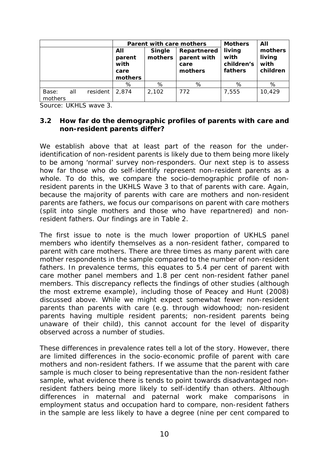|                  |     |          |                                          | Parent with care mothers                                                  | <b>Mothers</b> | All                                     |                                       |  |
|------------------|-----|----------|------------------------------------------|---------------------------------------------------------------------------|----------------|-----------------------------------------|---------------------------------------|--|
|                  |     |          | All<br>parent<br>with<br>care<br>mothers | Repartnered<br><b>Single</b><br>parent with<br>mothers<br>care<br>mothers |                | living<br>with<br>children's<br>fathers | mothers<br>living<br>with<br>children |  |
|                  |     |          | %                                        | %                                                                         | %              | %                                       | %                                     |  |
| Base:<br>mothers | all | resident | 2,874                                    | 2,102                                                                     | 772            | 7,555                                   | 10,429                                |  |

Source: UKHLS wave 3.

#### *3.2 How far do the demographic profiles of parents with care and non-resident parents differ?*

We establish above that at least part of the reason for the underidentification of non-resident parents is likely due to them being more likely to be among 'normal' survey non-responders. Our next step is to assess how far those who do self-identify represent non-resident parents as a whole. To do this, we compare the socio-demographic profile of nonresident parents in the UKHLS Wave 3 to that of parents with care. Again, because the majority of parents with care are mothers and non-resident parents are fathers, we focus our comparisons on parent with care mothers (split into single mothers and those who have repartnered) and nonresident fathers. Our findings are in Table 2.

The first issue to note is the much lower proportion of UKHLS panel members who identify themselves as a non-resident father, compared to parent with care mothers. There are three times as many parent with care mother respondents in the sample compared to the number of non-resident fathers. In prevalence terms, this equates to 5.4 per cent of parent with care mother panel members and 1.8 per cent non-resident father panel members. This discrepancy reflects the findings of other studies (although the most extreme example), including those of Peacey and Hunt (2008) discussed above. While we might expect somewhat fewer non-resident parents than parents with care (e.g. through widowhood; non-resident parents having multiple resident parents; non-resident parents being unaware of their child), this cannot account for the level of disparity observed across a number of studies.

These differences in prevalence rates tell a lot of the story. However, there are limited differences in the socio-economic profile of parent with care mothers and non-resident fathers. If we assume that the parent with care sample is much closer to being representative than the non-resident father sample, what evidence there is tends to point towards disadvantaged nonresident fathers being more likely to self-identify than others. Although differences in maternal and paternal work make comparisons in employment status and occupation hard to compare, non-resident fathers in the sample are less likely to have a degree (nine per cent compared to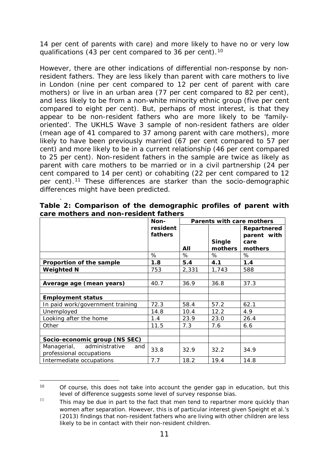14 per cent of parents with care) and more likely to have no or very low qualifications (43 per cent compared to 36 per cent).[10](#page-14-0)

However, there are other indications of differential non-response by nonresident fathers. They are less likely than parent with care mothers to live in London (nine per cent compared to 12 per cent of parent with care mothers) or live in an urban area (77 per cent compared to 82 per cent), and less likely to be from a non-white minority ethnic group (five per cent compared to eight per cent). But, perhaps of most interest, is that they appear to be non-resident fathers who are more likely to be 'familyoriented'. The UKHLS Wave 3 sample of non-resident fathers are older (mean age of 41 compared to 37 among parent with care mothers), more likely to have been previously married (67 per cent compared to 57 per cent) and more likely to be in a current relationship (46 per cent compared to 25 per cent). Non-resident fathers in the sample are twice as likely as parent with care mothers to be married or in a civil partnership (24 per cent compared to 14 per cent) or cohabiting (22 per cent compared to 12 per cent).<sup>[11](#page-14-1)</sup> These differences are starker than the socio-demographic differences might have been predicted.

|                                                               | Non-     | Parents with care mothers |               |             |  |
|---------------------------------------------------------------|----------|---------------------------|---------------|-------------|--|
|                                                               | resident |                           |               | Repartnered |  |
|                                                               | fathers  |                           |               | parent with |  |
|                                                               |          |                           | <b>Single</b> | care        |  |
|                                                               |          | All                       | mothers       | mothers     |  |
|                                                               | %        | %                         | %             | %           |  |
| Proportion of the sample                                      | 1.8      | 5.4                       | 4.1           | 1.4         |  |
| <b>Weighted N</b>                                             | 753      | 2,331                     | 1,743         | 588         |  |
|                                                               |          |                           |               |             |  |
| Average age (mean years)                                      | 40.7     | 36.9                      | 36.8          | 37.3        |  |
|                                                               |          |                           |               |             |  |
| <b>Employment status</b>                                      |          |                           |               |             |  |
| In paid work/government training                              | 72.3     | 58.4                      | 57.2          | 62.1        |  |
| Unemployed                                                    | 14.8     | 10.4                      | 12.2          | 4.9         |  |
| Looking after the home                                        | 1.4      | 23.9                      | 23.0          | 26.4        |  |
| Other                                                         | 11.5     | 7.3                       | 7.6           | 6.6         |  |
|                                                               |          |                           |               |             |  |
| Socio-economic group (NS SEC)                                 |          |                           |               |             |  |
| Managerial, administrative<br>and<br>professional occupations | 33.8     | 32.9                      | 32.2          | 34.9        |  |
| Intermediate occupations                                      | 7.7      | 18.2                      | 19.4          | 14.8        |  |

. **Table 2: Comparison of the demographic profiles of parent with care mothers and non-resident fathers**

<span id="page-14-0"></span><sup>-</sup> $10$  Of course, this does not take into account the gender gap in education, but this level of difference suggests some level of survey response bias.

<span id="page-14-1"></span> $11$  This may be due in part to the fact that men tend to repartner more quickly than women after separation. However, this is of particular interest given Speight et al.'s (2013) findings that non-resident fathers who are living with other children are less likely to be in contact with their non-resident children.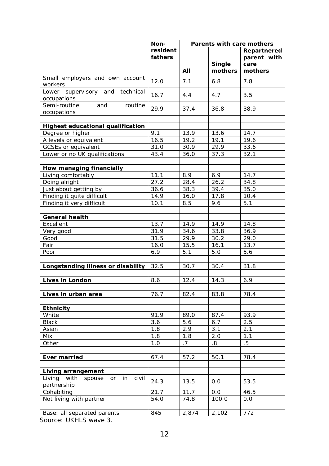|                                                | Non-                |       | Parents with care mothers |                            |
|------------------------------------------------|---------------------|-------|---------------------------|----------------------------|
|                                                | resident<br>fathers |       |                           | Repartnered<br>parent with |
|                                                |                     |       | <b>Single</b>             | care                       |
|                                                |                     | All   | mothers                   | mothers                    |
| Small employers and own account<br>workers     | 12.0                | 7.1   | 6.8                       | 7.8                        |
| Lower supervisory and technical<br>occupations | 16.7                | 4.4   | 4.7                       | 3.5                        |
| Semi-routine<br>and<br>routine<br>occupations  | 29.9                | 37.4  | 36.8                      | 38.9                       |
|                                                |                     |       |                           |                            |
| <b>Highest educational qualification</b>       |                     |       |                           |                            |
| Degree or higher                               | 9.1                 | 13.9  | 13.6                      | 14.7                       |
| A levels or equivalent                         | 16.5                | 19.2  | 19.1                      | 19.6                       |
| <b>GCSEs or equivalent</b>                     | 31.0                | 30.9  | 29.9                      | 33.6                       |
| Lower or no UK qualifications                  | 43.4                | 36.0  | 37.3                      | 32.1                       |
|                                                |                     |       |                           |                            |
| <b>How managing financially</b>                |                     |       |                           |                            |
| Living comfortably                             | 11.1                | 8.9   | 6.9<br>26.2               | 14.7                       |
| Doing alright                                  | 27.2                | 28.4  |                           | 34.8                       |
| Just about getting by                          | 36.6                | 38.3  | 39.4                      | 35.0                       |
| Finding it quite difficult                     | 14.9                | 16.0  | 17.8                      | 10.4                       |
| Finding it very difficult                      | 10.1                | 8.5   | 9.6                       | 5.1                        |
| <b>General health</b>                          |                     |       |                           |                            |
| Excellent                                      | 13.7                | 14.9  | 14.9                      | 14.8                       |
| Very good                                      | 31.9                | 34.6  | 33.8                      | 36.9                       |
| Good                                           | 31.5                | 29.9  | 30.2                      | 29.0                       |
| Fair                                           | 16.0                | 15.5  | 16.1                      | 13.7                       |
| Poor                                           | 6.9                 | 5.1   | 5.0                       | 5.6                        |
|                                                |                     |       |                           |                            |
| Longstanding illness or disability             | 32.5                | 30.7  | 30.4                      | 31.8                       |
|                                                |                     |       |                           |                            |
| <b>Lives in London</b>                         | 8.6                 | 12.4  | 14.3                      | 6.9                        |
|                                                |                     |       |                           |                            |
| Lives in urban area                            | 76.7                | 82.4  | 83.8                      | 78.4                       |
|                                                |                     |       |                           |                            |
| <b>Ethnicity</b>                               |                     |       |                           |                            |
| White                                          | 91.9                | 89.0  | 87.4                      | 93.9                       |
| <b>Black</b>                                   | 3.6                 | 5.6   | 6.7                       | 2.5                        |
| Asian                                          | 1.8                 | 2.9   | 3.1                       | 2.1                        |
| Mix                                            | 1.8                 | 1.8   | 2.0                       | 1.1                        |
| Other                                          | 1.0                 | .7    | .8                        | $.5\,$                     |
|                                                |                     |       |                           |                            |
| <b>Ever married</b>                            | 67.4                | 57.2  | 50.1                      | 78.4                       |
| <b>Living arrangement</b>                      |                     |       |                           |                            |
| Living<br>with<br>in<br>civil<br>spouse<br>or  |                     |       |                           |                            |
| partnership                                    | 24.3                | 13.5  | 0.0                       | 53.5                       |
| Cohabiting                                     | 21.7                | 11.7  | 0.0                       | 46.5                       |
| Not living with partner                        | 54.0                | 74.8  | 100.0                     | 0.0                        |
|                                                |                     |       |                           |                            |
| Base: all separated parents                    | 845                 | 2,874 | 2,102                     | 772                        |

Source: UKHLS wave 3.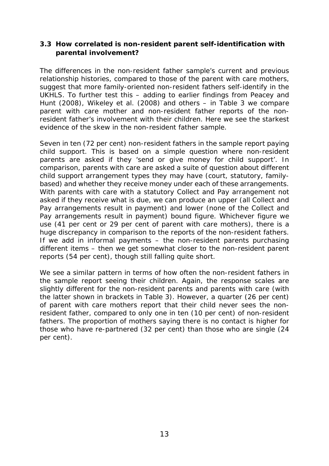#### *3.3 How correlated is non-resident parent self-identification with parental involvement?*

The differences in the non-resident father sample's current and previous relationship histories, compared to those of the parent with care mothers, suggest that more family-oriented non-resident fathers self-identify in the UKHLS. To further test this – adding to earlier findings from Peacey and Hunt (2008), Wikeley et al. (2008) and others – in Table 3 we compare parent with care mother and non-resident father reports of the nonresident father's involvement with their children. Here we see the starkest evidence of the skew in the non-resident father sample.

Seven in ten (72 per cent) non-resident fathers in the sample report paying child support. This is based on a simple question where non-resident parents are asked if they 'send or give money for child support'. In comparison, parents with care are asked a suite of question about different child support arrangement types they may have (court, statutory, familybased) and whether they receive money under each of these arrangements. With parents with care with a statutory Collect and Pay arrangement not asked if they receive what is due, we can produce an upper (all Collect and Pay arrangements result in payment) and lower (none of the Collect and Pay arrangements result in payment) bound figure. Whichever figure we use (41 per cent or 29 per cent of parent with care mothers), there is a huge discrepancy in comparison to the reports of the non-resident fathers. If we add in informal payments – the non-resident parents purchasing different items – then we get somewhat closer to the non-resident parent reports (54 per cent), though still falling quite short.

We see a similar pattern in terms of how often the non-resident fathers in the sample report seeing their children. Again, the response scales are slightly different for the non-resident parents and parents with care (with the latter shown in brackets in Table 3). However, a quarter (26 per cent) of parent with care mothers report that their child *never* sees the nonresident father, compared to only one in ten (10 per cent) of non-resident fathers. The proportion of mothers saying there is no contact is higher for those who have re-partnered (32 per cent) than those who are single (24 per cent).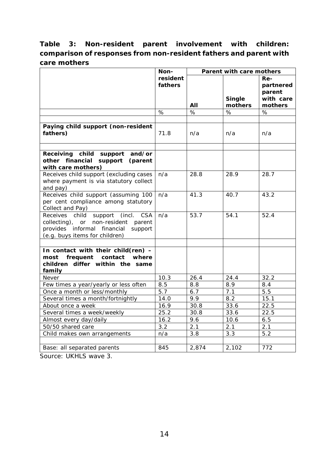### **Table 3: Non-resident parent involvement with children: comparison of responses from non-resident fathers and parent with care mothers**

|                                                                                                                                                                      | Non-                | Parent with care mothers |                   |                                                    |  |
|----------------------------------------------------------------------------------------------------------------------------------------------------------------------|---------------------|--------------------------|-------------------|----------------------------------------------------|--|
|                                                                                                                                                                      | resident<br>fathers | AII                      | Single<br>mothers | Re-<br>partnered<br>parent<br>with care<br>mothers |  |
|                                                                                                                                                                      | $\%$                | $\%$                     | $\%$              | $\%$                                               |  |
| Paying child support (non-resident<br>fathers)                                                                                                                       | 71.8                | n/a                      | n/a               | n/a                                                |  |
| Receiving child support<br>and/or<br>other financial support<br>(parent<br>with care mothers)                                                                        |                     |                          |                   |                                                    |  |
| Receives child support (excluding cases<br>where payment is via statutory collect<br>and pay)                                                                        | n/a                 | 28.8                     | 28.9              | 28.7                                               |  |
| Receives child support (assuming 100<br>per cent compliance among statutory<br>Collect and Pay)                                                                      | n/a                 | 41.3                     | 40.7              | 43.2                                               |  |
| Receives child<br>support<br>(incl.<br><b>CSA</b><br>collecting), or non-resident parent<br>provides informal financial<br>support<br>(e.g. buys items for children) | n/a                 | 53.7                     | 54.1              | 52.4                                               |  |
| In contact with their child(ren) -<br>frequent<br>contact<br>where<br>most<br>children differ within the same<br>family                                              |                     |                          |                   |                                                    |  |
| Never                                                                                                                                                                | 10.3                | 26.4                     | 24.4              | 32.2                                               |  |
| Few times a year/yearly or less often<br>Once a month or less/monthly                                                                                                | 8.5<br>5.7          | 8.8<br>6.7               | 8.9<br>7.1        | 8.4<br>5.5                                         |  |
| Several times a month/fortnightly                                                                                                                                    | 14.0                | 9.9                      | 8.2               | 15.1                                               |  |
| About once a week                                                                                                                                                    | 16.9                | 30.8                     | 33.6              | 22.5                                               |  |
| Several times a week/weekly                                                                                                                                          | 25.2                | 30.8                     | 33.6              | 22.5                                               |  |
| Almost every day/daily                                                                                                                                               | 16.2                | 9.6                      | 10.6              | 6.5                                                |  |
| 50/50 shared care                                                                                                                                                    | 3.2                 | 2.1                      | 2.1               | 2.1                                                |  |
| Child makes own arrangements                                                                                                                                         | n/a                 | 3.8                      | 3.3               | 5.2                                                |  |
|                                                                                                                                                                      |                     |                          |                   |                                                    |  |
| Base: all separated parents                                                                                                                                          | 845                 | 2,874                    | 2,102             | 772                                                |  |

Source: UKHLS wave 3.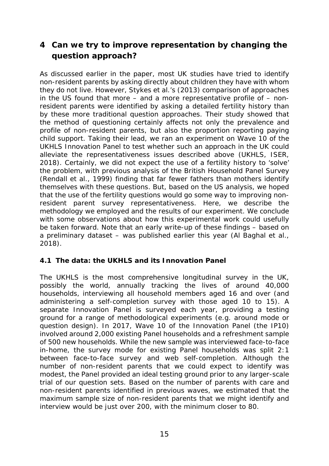# **4 Can we try to improve representation by changing the question approach?**

As discussed earlier in the paper, most UK studies have tried to identify non-resident parents by asking directly about children they have with whom they do not live. However, Stykes et al.'s (2013) comparison of approaches in the US found that more – and a more representative profile of – nonresident parents were identified by asking a detailed fertility history than by these more traditional question approaches. Their study showed that the method of questioning certainly affects not only the prevalence and profile of non-resident parents, but also the proportion reporting paying child support. Taking their lead, we ran an experiment on Wave 10 of the UKHLS Innovation Panel to test whether such an approach in the UK could alleviate the representativeness issues described above (UKHLS, ISER, 2018). Certainly, we did not expect the use of a fertility history to 'solve' the problem, with previous analysis of the British Household Panel Survey (Rendall et al., 1999) finding that far fewer fathers than mothers identify themselves with these questions. But, based on the US analysis, we hoped that the use of the fertility questions would go some way to improving nonresident parent survey representativeness. Here, we describe the methodology we employed and the results of our experiment. We conclude with some observations about how this experimental work could usefully be taken forward. Note that an early write-up of these findings – based on a preliminary dataset – was published earlier this year (Al Baghal et al., 2018).

#### *4.1 The data: the UKHLS and its Innovation Panel*

The UKHLS is the most comprehensive longitudinal survey in the UK, possibly the world, annually tracking the lives of around 40,000 households, interviewing all household members aged 16 and over (and administering a self-completion survey with those aged 10 to 15). A separate Innovation Panel is surveyed each year, providing a testing ground for a range of methodological experiments (e.g. around mode or question design). In 2017, Wave 10 of the Innovation Panel (the IP10) involved around 2,000 existing Panel households and a refreshment sample of 500 new households. While the new sample was interviewed face-to-face in-home, the survey mode for existing Panel households was split 2:1 between face-to-face survey and web self-completion. Although the number of non-resident parents that we could expect to identify was modest, the Panel provided an ideal testing ground prior to any larger-scale trial of our question sets. Based on the number of parents with care and non-resident parents identified in previous waves, we estimated that the maximum sample size of non-resident parents that we might identify and interview would be just over 200, with the minimum closer to 80.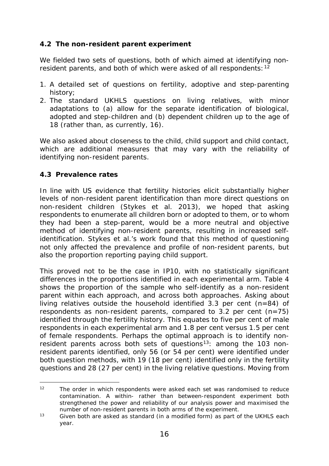#### *4.2 The non-resident parent experiment*

We fielded two sets of questions, both of which aimed at identifying non-resident parents, and both of which were asked of all respondents: <sup>[12](#page-19-0)</sup>

- 1. A detailed set of questions on fertility, adoptive and step-parenting history;
- 2. The standard UKHLS questions on living relatives, with minor adaptations to (a) allow for the separate identification of biological, adopted and step-children and (b) dependent children up to the age of 18 (rather than, as currently, 16).

We also asked about closeness to the child, child support and child contact, which are additional measures that may vary with the reliability of identifying non-resident parents.

#### *4.3 Prevalence rates*

In line with US evidence that fertility histories elicit substantially higher levels of non-resident parent identification than more direct questions on non-resident children (Stykes et al. 2013), we hoped that asking respondents to enumerate all children born or adopted to them, or to whom they had been a step-parent, would be a more neutral and objective method of identifying non-resident parents, resulting in increased selfidentification. Stykes et al.'s work found that this method of questioning not only affected the prevalence and profile of non-resident parents, but also the proportion reporting paying child support.

This proved not to be the case in IP10, with no statistically significant differences in the proportions identified in each experimental arm. Table 4 shows the proportion of the sample who self-identify as a non-resident parent within each approach, and across both approaches. Asking about living relatives outside the household identified 3.3 per cent (n=84) of respondents as non-resident parents, compared to 3.2 per cent (n=75) identified through the fertility history. This equates to five per cent of male respondents in each experimental arm and 1.8 per cent versus 1.5 per cent of female respondents. Perhaps the optimal approach is to identify nonresident parents across *both* sets of questions<sup>[13](#page-19-1)</sup>: among the 103 nonresident parents identified, only 56 (or 54 per cent) were identified under both question methods, with 19 (18 per cent) identified only in the fertility questions and 28 (27 per cent) in the living relative questions. Moving from

<span id="page-19-0"></span><sup>-</sup><sup>12</sup> The order in which respondents were asked each set was randomised to reduce contamination. A within- rather than between-respondent experiment both strengthened the power and reliability of our analysis power and maximised the number of non-resident parents in both arms of the experiment.

<span id="page-19-1"></span> $13$  Given both are asked as standard (in a modified form) as part of the UKHLS each year.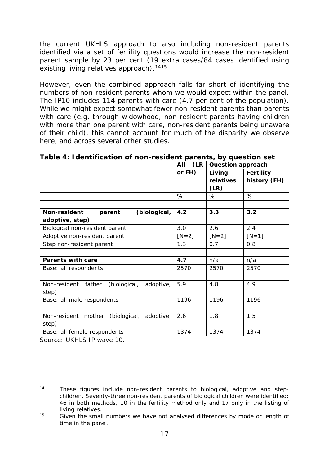the current UKHLS approach to also including non-resident parents identified via a set of fertility questions would increase the non-resident parent sample by 23 per cent (19 extra cases/84 cases identified using existing living relatives approach).<sup>[14](#page-20-0)[15](#page-20-1)</sup>

However, even the combined approach falls far short of identifying the numbers of non-resident parents whom we would expect within the panel. The IP10 includes 114 parents with care (4.7 per cent of the population). While we might expect somewhat fewer non-resident parents than parents with care (e.g. through widowhood, non-resident parents having children with more than one parent with care, non-resident parents being unaware of their child), this cannot account for much of the disparity we observe here, and across several other studies.

|                                                     | (LR)<br>AII | <b>Question approach</b> |                  |
|-----------------------------------------------------|-------------|--------------------------|------------------|
|                                                     | or FH)      | Living                   | <b>Fertility</b> |
|                                                     |             | relatives                | history (FH)     |
|                                                     |             | (LR)                     |                  |
|                                                     | %           | %                        | %                |
|                                                     |             |                          |                  |
| (biological,<br><b>Non-resident</b><br>parent       | 4.2         | 3.3                      | 3.2              |
| adoptive, step)                                     |             |                          |                  |
| Biological non-resident parent                      | 3.0         | 2.6                      | 2.4              |
| Adoptive non-resident parent                        | $[N=2]$     | $[N=2]$                  | $[N=1]$          |
| Step non-resident parent                            | 1.3         | 0.7                      | 0.8              |
|                                                     |             |                          |                  |
| <b>Parents with care</b>                            | 4.7         | n/a                      | n/a              |
| Base: all respondents                               | 2570        | 2570                     | 2570             |
|                                                     |             |                          |                  |
| Non-resident<br>father<br>(biological,<br>adoptive, | 5.9         | 4.8                      | 4.9              |
| step)                                               |             |                          |                  |
| Base: all male respondents                          | 1196        | 1196                     | 1196             |
|                                                     |             |                          |                  |
| Non-resident mother<br>(biological,<br>adoptive,    | 2.6         | 1.8                      | 1.5              |
| step)                                               |             |                          |                  |
| Base: all female respondents                        | 1374        | 1374                     | 1374             |

**Table 4: Identification of non-resident parents, by question set**

Source: UKHLS IP wave 10.

<span id="page-20-0"></span><sup>-</sup>14 These figures include non-resident parents to biological, adoptive and stepchildren. Seventy-three non-resident parents of biological children were identified: 46 in both methods, 10 in the fertility method only and 17 only in the listing of living relatives.

<span id="page-20-1"></span> $15$  Given the small numbers we have not analysed differences by mode or length of time in the panel.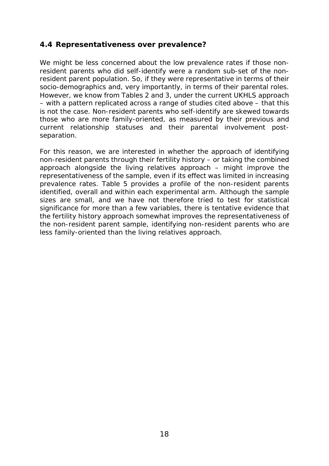#### *4.4 Representativeness over prevalence?*

We might be less concerned about the low prevalence rates if those nonresident parents who did self-identify were a random sub-set of the nonresident parent population. So, if they were representative in terms of their socio-demographics and, very importantly, in terms of their parental roles. However, we know from Tables 2 and 3, under the current UKHLS approach – with a pattern replicated across a range of studies cited above – that this is not the case. Non-resident parents who self-identify are skewed towards those who are more family-oriented, as measured by their previous and current relationship statuses and their parental involvement postseparation.

For this reason, we are interested in whether the approach of identifying non-resident parents through their fertility history – or taking the combined approach alongside the living relatives approach – might improve the representativeness of the sample, even if its effect was limited in increasing prevalence rates. Table 5 provides a profile of the non-resident parents identified, overall and within each experimental arm. Although the sample sizes are small, and we have not therefore tried to test for statistical significance for more than a few variables, there is tentative evidence that the fertility history approach somewhat improves the representativeness of the non-resident parent sample, identifying non-resident parents who are less family-oriented than the living relatives approach.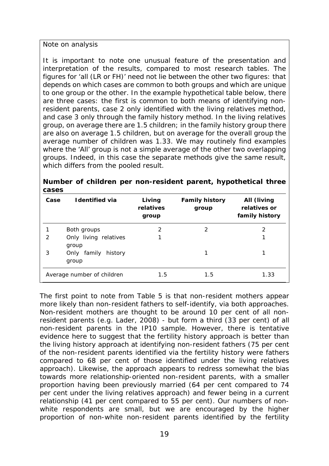*Note on analysis*

It is important to note one unusual feature of the presentation and interpretation of the results, compared to most research tables. The figures for 'all (LR or FH)' need not lie between the other two figures: that depends on which cases are common to both groups and which are unique to one group or the other. In the example hypothetical table below, there are three cases: the first is common to both means of identifying nonresident parents, case 2 only identified with the living relatives method, and case 3 only through the family history method. In the living relatives group, on average there are 1.5 children; in the family history group there are also on average 1.5 children, but on average for the overall group the average number of children was 1.33. We may routinely find examples where the 'All' group is not a simple average of the other two *overlapping* groups. Indeed, in this case the separate methods give the same result, which differs from the pooled result.

| Case | <b>Identified via</b>              | Living<br>relatives<br>group | <b>Family history</b><br>group | All (living<br>relatives or<br>family history |
|------|------------------------------------|------------------------------|--------------------------------|-----------------------------------------------|
|      | Both groups                        | 2                            | 2                              | 2                                             |
| 2    | Only living relatives<br>group     |                              |                                |                                               |
| 3    | Only<br>family<br>history<br>group |                              |                                |                                               |
|      | Average number of children         | 1.5                          | 1.5                            | 1.33                                          |

|       |  | Number of children per non-resident parent, hypothetical three |  |  |
|-------|--|----------------------------------------------------------------|--|--|
| cases |  |                                                                |  |  |

The first point to note from Table 5 is that non-resident mothers appear more likely than non-resident fathers to self-identify, via both approaches. Non-resident mothers are thought to be around 10 per cent of all nonresident parents (e.g. Lader, 2008) - but form a third (33 per cent) of all non-resident parents in the IP10 sample. However, there is tentative evidence here to suggest that the fertility history approach is better than the living history approach at identifying non-resident fathers (75 per cent of the non-resident parents identified via the fertility history were fathers compared to 68 per cent of those identified under the living relatives approach). Likewise, the approach appears to redress somewhat the bias towards more relationship-oriented non-resident parents, with a smaller proportion having been previously married (64 per cent compared to 74 per cent under the living relatives approach) and fewer being in a current relationship (41 per cent compared to 55 per cent). Our numbers of nonwhite respondents are small, but we are encouraged by the higher proportion of non-white non-resident parents identified by the fertility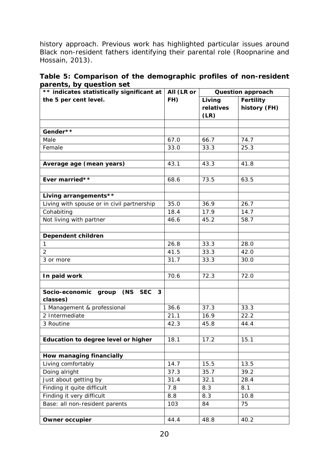history approach. Previous work has highlighted particular issues around Black non-resident fathers identifying their parental role (Roopnarine and Hossain, 2013).

| Table 5: Comparison of the demographic profiles of non-resident |  |  |
|-----------------------------------------------------------------|--|--|
| parents, by question set                                        |  |  |

| ** indicates statistically significant at        | All (LR or |           | <b>Question approach</b> |
|--------------------------------------------------|------------|-----------|--------------------------|
| the 5 per cent level.                            | FH)        | Living    | <b>Fertility</b>         |
|                                                  |            | relatives | history (FH)             |
|                                                  |            | (LR)      |                          |
|                                                  |            |           |                          |
| Gender**                                         |            |           |                          |
| Male                                             | 67.0       | 66.7      | 74.7                     |
| Female                                           | 33.0       | 33.3      | 25.3                     |
|                                                  |            |           |                          |
| Average age (mean years)                         | 43.1       | 43.3      | 41.8                     |
|                                                  |            |           |                          |
| Ever married**                                   | 68.6       | 73.5      | 63.5                     |
|                                                  |            |           |                          |
| Living arrangements**                            |            |           |                          |
| Living with spouse or in civil partnership       | 35.0       | 36.9      | 26.7                     |
| Cohabiting                                       | 18.4       | 17.9      | 14.7                     |
| Not living with partner                          | 46.6       | 45.2      | 58.7                     |
|                                                  |            |           |                          |
| Dependent children                               |            |           |                          |
| $\mathbf{1}$                                     | 26.8       | 33.3      | 28.0                     |
| $\overline{2}$                                   | 41.5       | 33.3      | 42.0                     |
| 3 or more                                        | 31.7       | 33.3      | 30.0                     |
|                                                  |            |           |                          |
| In paid work                                     | 70.6       | 72.3      | 72.0                     |
|                                                  |            |           |                          |
| (NS SEC<br>Socio-economic group<br>3<br>classes) |            |           |                          |
| 1 Management & professional                      | 36.6       | 37.3      | 33.3                     |
| 2 Intermediate                                   | 21.1       | 16.9      | 22.2                     |
| 3 Routine                                        | 42.3       | 45.8      | 44.4                     |
|                                                  |            |           |                          |
| Education to degree level or higher              | 18.1       | 17.2      | 15.1                     |
|                                                  |            |           |                          |
| How managing financially                         |            |           |                          |
| Living comfortably                               | 14.7       | 15.5      | 13.5                     |
| Doing alright                                    | 37.3       | 35.7      | 39.2                     |
| Just about getting by                            | 31.4       | 32.1      | 28.4                     |
| Finding it quite difficult                       | 7.8        | 8.3       | 8.1                      |
| Finding it very difficult                        | 8.8        | 8.3       | 10.8                     |
| Base: all non-resident parents                   | 103        | 84        | 75                       |
|                                                  |            |           |                          |
| <b>Owner occupier</b>                            | 44.4       | 48.8      | 40.2                     |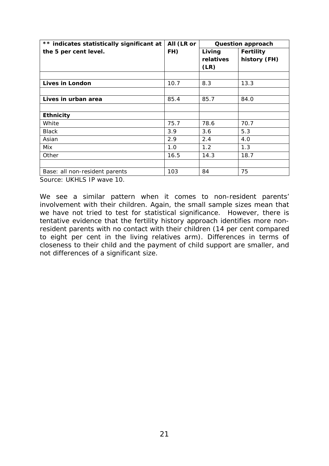| ** indicates statistically significant at | All (LR or | <b>Question approach</b> |                  |  |
|-------------------------------------------|------------|--------------------------|------------------|--|
| the 5 per cent level.                     | FH)        | Living                   | <b>Fertility</b> |  |
|                                           |            | relatives                | history (FH)     |  |
|                                           |            | (LR)                     |                  |  |
|                                           |            |                          |                  |  |
| Lives in London                           | 10.7       | 8.3                      | 13.3             |  |
|                                           |            |                          |                  |  |
| Lives in urban area                       | 85.4       | 85.7                     | 84.0             |  |
|                                           |            |                          |                  |  |
| <b>Ethnicity</b>                          |            |                          |                  |  |
| White                                     | 75.7       | 78.6                     | 70.7             |  |
| <b>Black</b>                              | 3.9        | 3.6                      | 5.3              |  |
| Asian                                     | 2.9        | 2.4                      | 4.0              |  |
| Mix                                       | 1.0        | 1.2                      | 1.3              |  |
| Other                                     | 16.5       | 14.3                     | 18.7             |  |
|                                           |            |                          |                  |  |
| Base: all non-resident parents            | 103        | 84                       | 75               |  |

Source: UKHLS IP wave 10.

We see a similar pattern when it comes to non-resident parents' involvement with their children. Again, the small sample sizes mean that we have not tried to test for statistical significance. However, there is tentative evidence that the fertility history approach identifies more nonresident parents with no contact with their children (14 per cent compared to eight per cent in the living relatives arm). Differences in terms of closeness to their child and the payment of child support are smaller, and not differences of a significant size.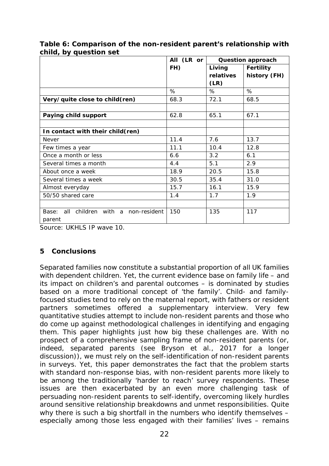|                                           | All (LR or | <b>Question approach</b> |                  |
|-------------------------------------------|------------|--------------------------|------------------|
|                                           | FH)        | Living                   | <b>Fertility</b> |
|                                           |            | relatives                | history (FH)     |
|                                           |            | (LR)                     |                  |
|                                           | $\%$       | %                        | %                |
| Very/quite close to child(ren)            | 68.3       | 72.1                     | 68.5             |
|                                           |            |                          |                  |
| Paying child support                      | 62.8       | 65.1                     | 67.1             |
|                                           |            |                          |                  |
| In contact with their child(ren)          |            |                          |                  |
| Never                                     | 11.4       | 7.6                      | 13.7             |
| Few times a year                          | 11.1       | 10.4                     | 12.8             |
| Once a month or less                      | 6.6        | 3.2                      | 6.1              |
| Several times a month                     | 4.4        | 5.1                      | 2.9              |
| About once a week                         | 18.9       | 20.5                     | 15.8             |
| Several times a week                      | 30.5       | 35.4                     | 31.0             |
| Almost everyday                           | 15.7       | 16.1                     | 15.9             |
| 50/50 shared care                         | 1.4        | 1.7                      | 1.9              |
|                                           |            |                          |                  |
| all children with a non-resident<br>Base: | 150        | 135                      | 117              |
| parent                                    |            |                          |                  |

**Table 6: Comparison of the non-resident parent's relationship with child, by question set**

Source: UKHLS IP wave 10.

#### **5 Conclusions**

Separated families now constitute a substantial proportion of all UK families with dependent children. Yet, the current evidence base on family life – and its impact on children's and parental outcomes – is dominated by studies based on a more traditional concept of 'the family'. Child- and familyfocused studies tend to rely on the maternal report, with fathers or resident partners sometimes offered a supplementary interview. Very few quantitative studies attempt to include non-resident parents and those who do come up against methodological challenges in identifying and engaging them. This paper highlights just how big these challenges are. With no prospect of a comprehensive sampling frame of non-resident parents (or, indeed, separated parents (see Bryson et al., 2017 for a longer discussion)), we must rely on the self-identification of non-resident parents in surveys. Yet, this paper demonstrates the fact that the problem starts with standard non-response bias, with non-resident parents more likely to be among the traditionally 'harder to reach' survey respondents. These issues are then exacerbated by an even more challenging task of persuading non-resident parents to self-identify, overcoming likely hurdles around sensitive relationship breakdowns and unmet responsibilities. Quite why there is such a big shortfall in the numbers who identify themselves especially among those less engaged with their families' lives – remains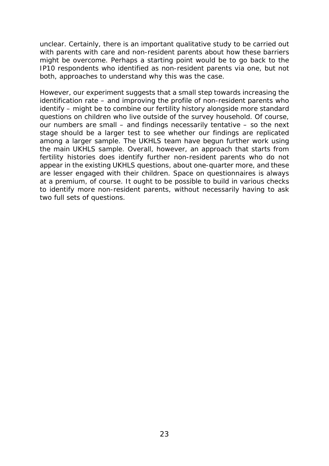unclear. Certainly, there is an important qualitative study to be carried out with parents with care and non-resident parents about how these barriers might be overcome. Perhaps a starting point would be to go back to the IP10 respondents who identified as non-resident parents via one, but not both, approaches to understand why this was the case.

However, our experiment suggests that a small step towards increasing the identification rate – and improving the profile of non-resident parents who identify – might be to combine our fertility history alongside more standard questions on children who live outside of the survey household. Of course, our numbers are small – and findings necessarily tentative – so the next stage should be a larger test to see whether our findings are replicated among a larger sample. The UKHLS team have begun further work using the main UKHLS sample. Overall, however, an approach that starts from fertility histories does identify further non-resident parents who do not appear in the existing UKHLS questions, about one-quarter more, and these are lesser engaged with their children. Space on questionnaires is always at a premium, of course. It ought to be possible to build in various checks to identify more non-resident parents, without necessarily having to ask two full sets of questions.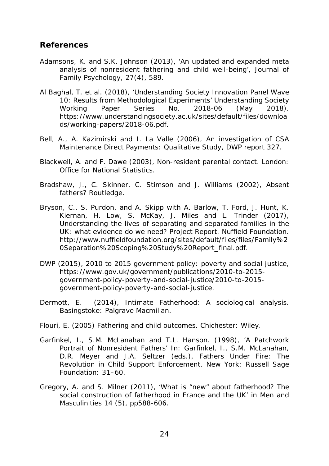#### **References**

- Adamsons, K. and S.K. Johnson (2013), 'An updated and expanded meta analysis of nonresident fathering and child well-being', *Journal of Family Psychology*, 27(4), 589.
- Al Baghal, T. et al. (2018), 'Understanding Society Innovation Panel Wave 10: Results from Methodological Experiments' *Understanding Society Working Paper Series* No. 2018-06 (May 2018). https://www.understandingsociety.ac.uk/sites/default/files/downloa ds/working-papers/2018-06.pdf.
- Bell, A., A. Kazimirski and I. La Valle (2006), *An investigation of CSA Maintenance Direct Payments: Qualitative Study*, DWP report 327.
- Blackwell, A. and F. Dawe (2003), *Non-resident parental contact*. London: Office for National Statistics.
- Bradshaw, J., C. Skinner, C. Stimson and J. Williams (2002), *Absent fathers?* Routledge.
- Bryson, C., S. Purdon, and A. Skipp with A. Barlow, T. Ford, J. Hunt, K. Kiernan, H. Low, S. McKay, J. Miles and L. Trinder (2017), *Understanding the lives of separating and separated families in the UK: what evidence do we need?* Project Report. Nuffield Foundation. http://www.nuffieldfoundation.org/sites/default/files/files/Family%2 0Separation%20Scoping%20Study%20Report\_final.pdf.
- DWP (2015), *2010 to 2015 government policy: poverty and social justice*, https://www.gov.uk/government/publications/2010-to-2015 government-policy-poverty-and-social-justice/2010-to-2015 government-policy-poverty-and-social-justice.
- Dermott, E. (2014), *Intimate Fatherhood: A sociological analysis*. Basingstoke: Palgrave Macmillan.
- Flouri, E. (2005) *Fathering and child outcomes*. Chichester: Wiley.
- Garfinkel, I., S.M. McLanahan and T.L. Hanson. (1998), 'A Patchwork Portrait of Nonresident Fathers' In: Garfinkel, I., S.M. McLanahan, D.R. Meyer and J.A. Seltzer (eds.), *Fathers Under Fire: The Revolution in Child Support Enforcement*. New York: Russell Sage Foundation: 31–60.
- Gregory, A. and S. Milner (2011), 'What is "new" about fatherhood? The social construction of fatherhood in France and the UK' in *Men and Masculinities* 14 (5), pp588-606.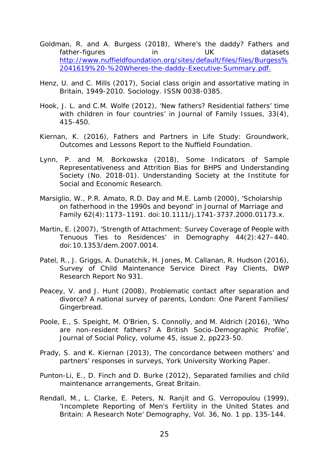- Goldman, R. and A. Burgess (2018), *Where's the daddy? Fathers and father-figures in UK datasets* [http://www.nuffieldfoundation.org/sites/default/files/files/Burgess%](http://www.nuffieldfoundation.org/sites/default/files/files/Burgess%2041619%20-%20Wheres-the-daddy-Executive-Summary.pdf) [2041619%20-%20Wheres-the-daddy-Executive-Summary.pdf.](http://www.nuffieldfoundation.org/sites/default/files/files/Burgess%2041619%20-%20Wheres-the-daddy-Executive-Summary.pdf)
- Henz, U. and C. Mills (2017), *Social class origin and assortative mating in Britain, 1949-2010.* Sociology. ISSN 0038-0385.
- Hook, J. L. and C.M. Wolfe (2012), 'New fathers? Residential fathers' time with children in four countries' in *Journal of Family Issues*, 33(4), 415-450.
- Kiernan, K. (2016), *Fathers and Partners in Life Study: Groundwork, Outcomes and Lessons* Report to the Nuffield Foundation.
- Lynn, P. and M. Borkowska (2018), *Some Indicators of Sample Representativeness and Attrition Bias for BHPS and Understanding Society* (No. 2018-01). Understanding Society at the Institute for Social and Economic Research.
- Marsiglio, W., P.R. Amato, R.D. Day and M.E. Lamb (2000), 'Scholarship on fatherhood in the 1990s and beyond' in *Journal of Marriage and Family* 62(4):1173–1191. doi:10.1111/j.1741-3737.2000.01173.x.
- Martin, E. (2007), 'Strength of Attachment: Survey Coverage of People with Tenuous Ties to Residences' in *Demography* 44(2):427–440. doi:10.1353/dem.2007.0014.
- Patel, R., J. Griggs, A. Dunatchik, H. Jones, M. Callanan, R. Hudson (2016), *Survey of Child Maintenance Service Direct Pay Clients,* DWP Research Report No 931.
- Peacey, V. and J. Hunt (2008), *Problematic contact after separation and divorce? A national survey of parents,* London: One Parent Families/ Gingerbread.
- Poole, E., S. Speight, M. O'Brien, S. Connolly, and M. Aldrich (2016), 'Who are non-resident fathers? A British Socio-Demographic Profile', *Journal of Social Policy*, volume 45, issue 2, pp223-50.
- Prady, S. and K. Kiernan (2013), *The concordance between mothers' and partners' responses in surveys*, York University Working Paper.
- Punton-Li, E., D. Finch and D. Burke (2012), *Separated families and child maintenance arrangements*, Great Britain.
- Rendall, M., L. Clarke, E. Peters, N. Ranjit and G. Verropoulou (1999), 'Incomplete Reporting of Men's Fertility in the United States and Britain: A Research Note' *Demography,* Vol. 36, No. 1 pp. 135-144.